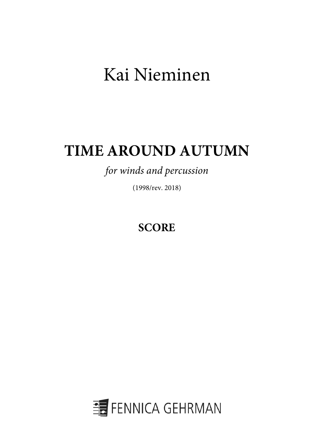# Kai Nieminen

## **TIME AROUND AUTUMN**

for winds and percussion

(1998/rev. 2018)

**SCORE** 

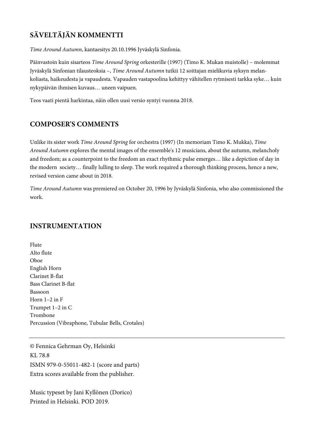#### **SÄVELTÄJÄN KOMMENTTI**

Time Around Autumn, kantaesitys 20.10.1996 Jyväskylä Sinfonia.

Päinvastoin kuin sisarteos Time Around Spring orkesterille (1997) (Timo K. Mukan muistolle) – molemmat Jyväskylä Sinfonian tilausteoksia –, Time Around Autumn tutkii 12 soittajan mielikuvia syksyn melankoliasta, haikeudesta ja vapaudesta. Vapauden vastapoolina kehittyy vähitellen rytmisesti tarkka syke… kuin nykypäivän ihmisen kuvaus… uneen vaipuen.

Teos vaati pientä harkintaa, näin ollen uusi versio syntyi vuonna 2018.

#### **COMPOSER'S COMMENTS**

Unlike its sister work Time Around Spring for orchestra (1997) (In memoriam Timo K. Mukka), Time Around Autumn explores the mental images of the ensemble's 12 musicians, about the autumn, melancholy and freedom; as a counterpoint to the freedom an exact rhythmic pulse emerges… like a depiction of day in the modern society… finally lulling to sleep. The work required a thorough thinking process, hence a new, revised version came about in 2018.

Time Around Autumn was premiered on October 20, 1996 by Jyväskylä Sinfonia, who also commissioned the work.

#### **INSTRUMENTATION**

Flute Alto flute Oboe English Horn Clarinet B-flat Bass Clarinet B-flat Bassoon Horn 1–2 in F Trumpet 1–2 in C Trombone Percussion (Vibraphone, Tubular Bells, Crotales)

© Fennica Gehrman Oy, Helsinki KL 78.8 ISMN 979-0-55011-482-1 (score and parts) Extra scores available from the publisher.

Music typeset by Jani Kyllönen (Dorico) Printed in Helsinki. POD 2019.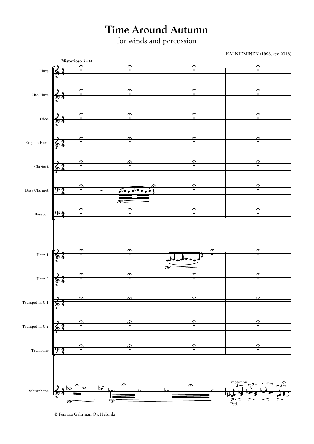## **Time Around Autumn**

for winds and percussion

KAI NIEMINEN (1998, rev. 2018)



© Fennica Gehrman Oy, Helsinki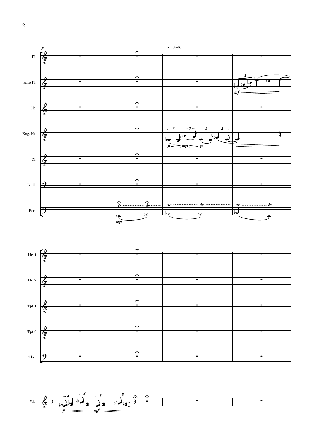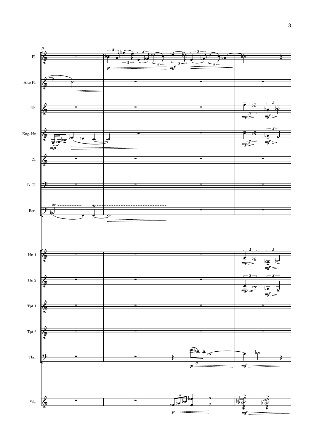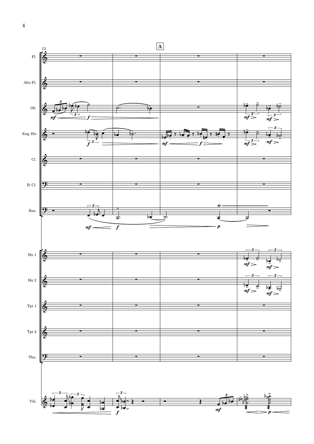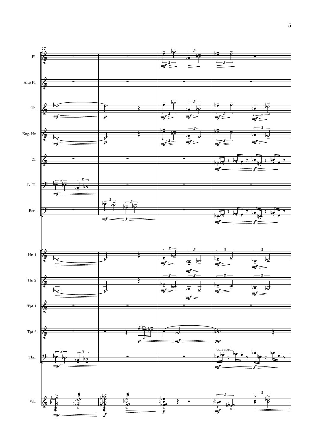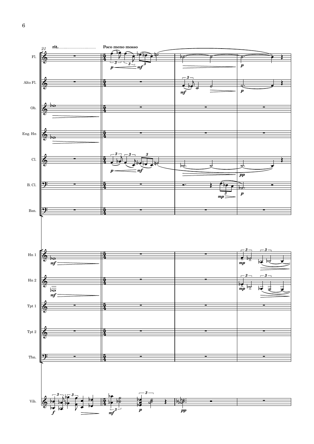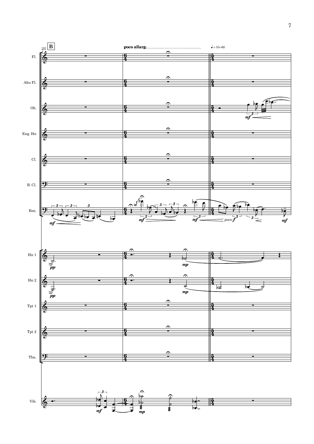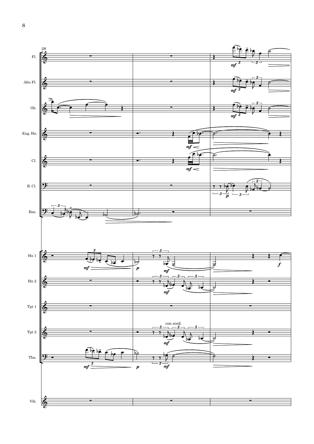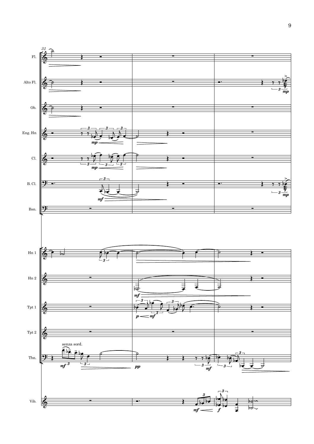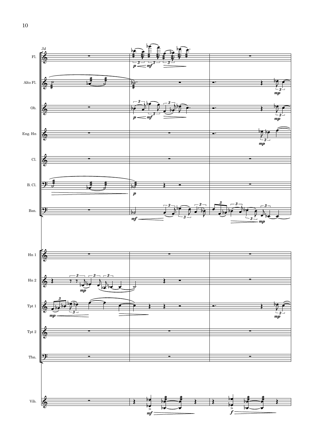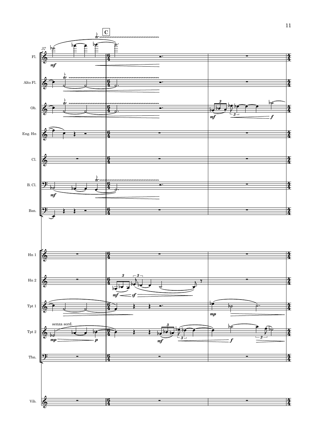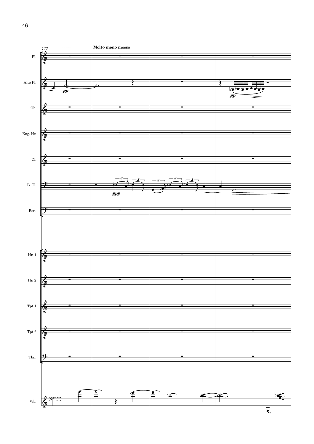

46